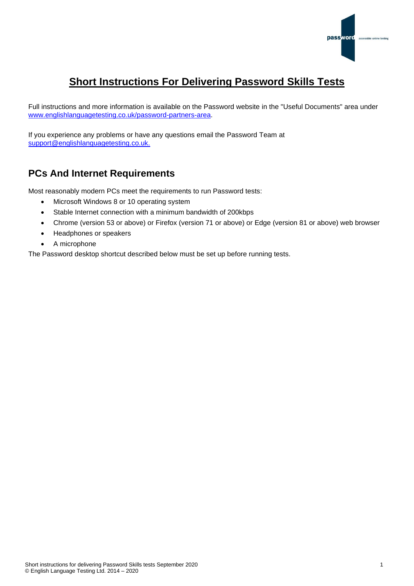

# **Short Instructions For Delivering Password Skills Tests**

Full instructions and more information is available on the Password website in the "Useful Documents" area under [www.englishlanguagetesting.co.uk/password-partners-area.](https://www.englishlanguagetesting.co.uk/password-partners-area/)

If you experience any problems or have any questions email the Password Team at [support@englishlanguagetesting.co.uk.](mailto:support@englishlanguagetesting.co.uk)

## **PCs And Internet Requirements**

Most reasonably modern PCs meet the requirements to run Password tests:

- Microsoft Windows 8 or 10 operating system
- Stable Internet connection with a minimum bandwidth of 200kbps
- Chrome (version 53 or above) or Firefox (version 71 or above) or Edge (version 81 or above) web browser
- Headphones or speakers
- A microphone

The Password desktop shortcut described below must be set up before running tests.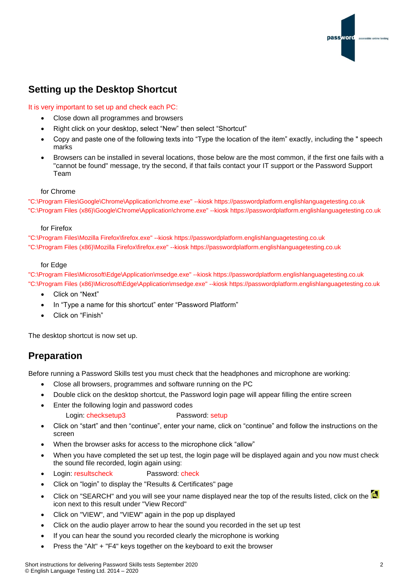

### **Setting up the Desktop Shortcut**

#### It is very important to set up and check each PC:

- Close down all programmes and browsers
- Right click on your desktop, select "New" then select "Shortcut"
- Copy and paste one of the following texts into "Type the location of the item" exactly, including the " speech marks
- Browsers can be installed in several locations, those below are the most common, if the first one fails with a "cannot be found" message, try the second, if that fails contact your IT support or the Password Support Team

#### for Chrome

"C:\Program Files\Google\Chrome\Application\chrome.exe" --kiosk https://passwordplatform.englishlanguagetesting.co.uk "C:\Program Files (x86)\Google\Chrome\Application\chrome.exe" --kiosk https://passwordplatform.englishlanguagetesting.co.uk

#### for Firefox

"C:\Program Files\Mozilla Firefox\firefox.exe" --kiosk https://passwordplatform.englishlanguagetesting.co.uk "C:\Program Files (x86)\Mozilla Firefox\firefox.exe" --kiosk https://passwordplatform.englishlanguagetesting.co.uk

#### for Edge

"C:\Program Files\Microsoft\Edge\Application\msedge.exe" --kiosk https://passwordplatform.englishlanguagetesting.co.uk "C:\Program Files (x86)\Microsoft\Edge\Application\msedge.exe" --kiosk https://passwordplatform.englishlanguagetesting.co.uk

- Click on "Next"
- In "Type a name for this shortcut" enter "Password Platform"
- Click on "Finish"

The desktop shortcut is now set up.

### **Preparation**

Before running a Password Skills test you must check that the headphones and microphone are working:

- Close all browsers, programmes and software running on the PC
- Double click on the desktop shortcut, the Password login page will appear filling the entire screen
- Enter the following login and password codes
	- Login: checksetup3 Password: setup
- Click on "start" and then "continue", enter your name, click on "continue" and follow the instructions on the screen
- When the browser asks for access to the microphone click "allow"
- When you have completed the set up test, the login page will be displayed again and you now must check the sound file recorded, login again using:
- Login: resultscheck Password: check
- Click on "login" to display the "Results & Certificates" page
- Click on "SEARCH" and you will see your name displayed near the top of the results listed. click on the **but** icon next to this result under "View Record"
- Click on "VIEW", and "VIEW" again in the pop up displayed
- Click on the audio player arrow to hear the sound you recorded in the set up test
- If you can hear the sound you recorded clearly the microphone is working
- Press the "Alt" + "F4" keys together on the keyboard to exit the browser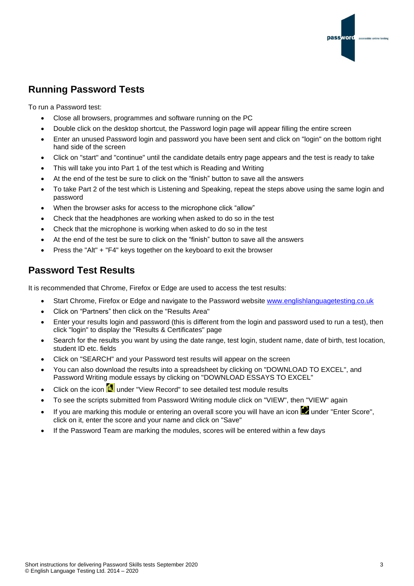

# **Running Password Tests**

To run a Password test:

- Close all browsers, programmes and software running on the PC
- Double click on the desktop shortcut, the Password login page will appear filling the entire screen
- Enter an unused Password login and password you have been sent and click on "login" on the bottom right hand side of the screen
- Click on "start" and "continue" until the candidate details entry page appears and the test is ready to take
- This will take you into Part 1 of the test which is Reading and Writing
- At the end of the test be sure to click on the "finish" button to save all the answers
- To take Part 2 of the test which is Listening and Speaking, repeat the steps above using the same login and password
- When the browser asks for access to the microphone click "allow"
- Check that the headphones are working when asked to do so in the test
- Check that the microphone is working when asked to do so in the test
- At the end of the test be sure to click on the "finish" button to save all the answers
- Press the "Alt" + "F4" keys together on the keyboard to exit the browser

### **Password Test Results**

It is recommended that Chrome, Firefox or Edge are used to access the test results:

- Start Chrome, Firefox or Edge and navigate to the Password website [www.englishlanguagetesting.co.uk](https://www.englishlanguagetesting.co.uk/)
- Click on "Partners" then click on the "Results Area"
- Enter your results login and password (this is different from the login and password used to run a test), then click "login" to display the "Results & Certificates" page
- Search for the results you want by using the date range, test login, student name, date of birth, test location, student ID etc. fields
- Click on "SEARCH" and your Password test results will appear on the screen
- You can also download the results into a spreadsheet by clicking on "DOWNLOAD TO EXCEL", and Password Writing module essays by clicking on "DOWNLOAD ESSAYS TO EXCEL"
- Click on the icon  $\mathbb{R}$  under "View Record" to see detailed test module results
- To see the scripts submitted from Password Writing module click on "VIEW", then "VIEW" again
- If you are marking this module or entering an overall score you will have an icon  $\Box$  under "Enter Score", click on it, enter the score and your name and click on "Save"
- If the Password Team are marking the modules, scores will be entered within a few days